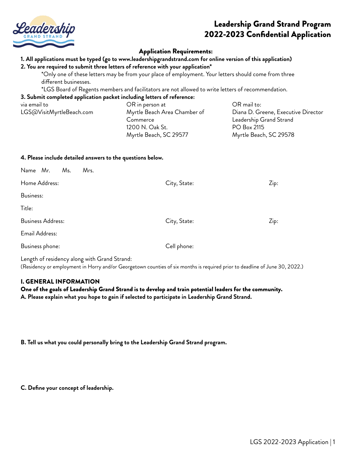

# Leadership Grand Strand Program 2022-2023 Confidential Application

# Application Requirements:

## **1. All applications must be typed (go to www.leadershipgrandstrand.com for online version of this application)**

#### **2. You are required to submit three letters of reference with your application\***

\*Only one of these letters may be from your place of employment. Your letters should come from three different businesses.

\*LGS Board of Regents members and facilitators are not allowed to write letters of recommendation.

#### **3. Submit completed application packet including letters of reference:**

| via email to             | OR in person at              | OR mail to:                         |
|--------------------------|------------------------------|-------------------------------------|
| LGS@VisitMyrtleBeach.com | Myrtle Beach Area Chamber of | Diana D. Greene, Executive Director |
|                          | Commerce                     | Leadership Grand Strand             |
|                          | 1200 N. Oak St.              | PO Box 2115                         |
|                          | Myrtle Beach, SC 29577       | Myrtle Beach, SC 29578              |
|                          |                              |                                     |

#### **4. Please include detailed answers to the questions below.**

| Name Mr.<br>Ms.<br>Mrs.  |              |      |
|--------------------------|--------------|------|
| Home Address:            | City, State: | Zip: |
| Business:                |              |      |
| Title:                   |              |      |
| <b>Business Address:</b> | City, State: | Zip: |
| Email Address:           |              |      |
| Business phone:          | Cell phone:  |      |
|                          |              |      |

Length of residency along with Grand Strand: (Residency or employment in Horry and/or Georgetown counties of six months is required prior to deadline of June 30, 2022.)

# I. GENERAL INFORMATION

One of the goals of Leadership Grand Strand is to develop and train potential leaders for the community. **A. Please explain what you hope to gain if selected to participate in Leadership Grand Strand.**

**B. Tell us what you could personally bring to the Leadership Grand Strand program.**

**C. Define your concept of leadership.**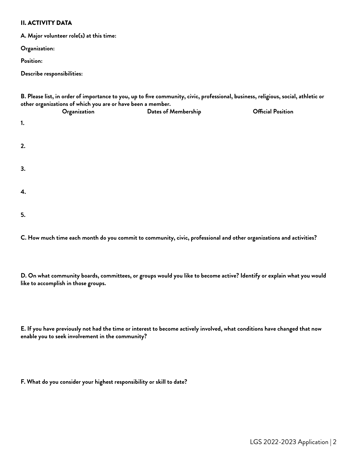## II. ACTIVITY DATA

**A. Major volunteer role(s) at this time:**

**Organization:**

**Position:**

**Describe responsibilities:**

**B. Please list, in order of importance to you, up to five community, civic, professional, business, religious, social, athletic or other organizations of which you are or have been a member.**

|    | Organization | Dates of Membership | <b>Official Position</b> |
|----|--------------|---------------------|--------------------------|
| 1. |              |                     |                          |
| 2. |              |                     |                          |
| 3. |              |                     |                          |
| 4. |              |                     |                          |
| 5. |              |                     |                          |

**C. How much time each month do you commit to community, civic, professional and other organizations and activities?**

**D. On what community boards, committees, or groups would you like to become active? Identify or explain what you would like to accomplish in those groups.**

**E. If you have previously not had the time or interest to become actively involved, what conditions have changed that now enable you to seek involvement in the community?**

**F. What do you consider your highest responsibility or skill to date?**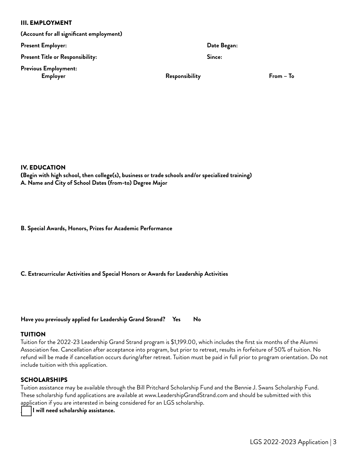#### III. EMPLOYMENT

#### **(Account for all significant employment)**

**Present Employer: Date Began:**

**Present Title or Responsibility: Since:**

**Previous Employment:**

**Employer Responsibility From – To**

#### IV. EDUCATION

(**Begin with high school, then college(s), business or trade schools and/or specialized training) A. Name and City of School Dates (from-to) Degree Major**

**B. Special Awards, Honors, Prizes for Academic Performance**

# **C. Extracurricular Activities and Special Honors or Awards for Leadership Activities**

## **Have you previously applied for Leadership Grand Strand? Yes No**

#### TUITION

Tuition for the 2022-23 Leadership Grand Strand program is \$1,199.00, which includes the first six months of the Alumni Association fee. Cancellation after acceptance into program, but prior to retreat, results in forfeiture of 50% of tuition. No refund will be made if cancellation occurs during/after retreat. Tuition must be paid in full prior to program orientation. Do not include tuition with this application.

#### SCHOLARSHIPS

Tuition assistance may be available through the Bill Pritchard Scholarship Fund and the Bennie J. Swans Scholarship Fund. These scholarship fund applications are available at www.LeadershipGrandStrand.com and should be submitted with this application if you are interested in being considered for an LGS scholarship.

**\_\_\_\_ I will need scholarship assistance.**